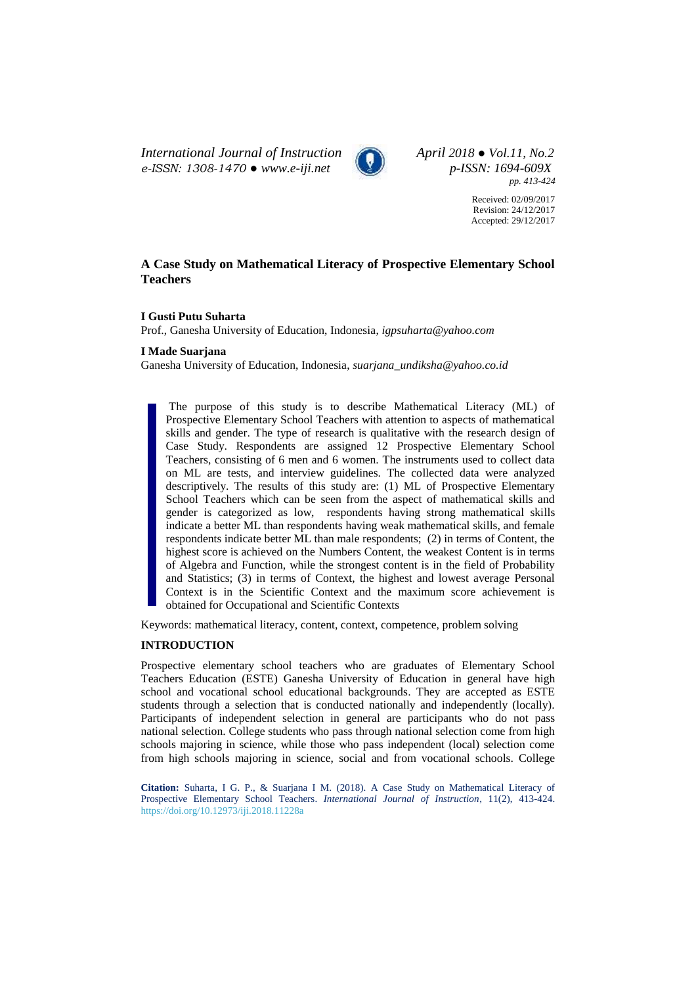*International Journal of Instruction April 2018 ● Vol.11, No.2 e-ISSN: 1308-1470 ● [www.e-iji.net](http://www.e-iji.net/) p-ISSN: 1694-609X*



*pp. 413-424*

Received: 02/09/2017 Revision: 24/12/2017 Accepted: 29/12/2017

# **A Case Study on Mathematical Literacy of Prospective Elementary School Teachers**

### **I Gusti Putu Suharta**

Prof., Ganesha University of Education, Indonesia, *igpsuharta@yahoo.com*

# **I Made Suarjana**

Ganesha University of Education, Indonesia, *suarjana\_undiksha@yahoo.co.id*

The purpose of this study is to describe Mathematical Literacy (ML) of Prospective Elementary School Teachers with attention to aspects of mathematical skills and gender. The type of research is qualitative with the research design of Case Study. Respondents are assigned 12 Prospective Elementary School Teachers, consisting of 6 men and 6 women. The instruments used to collect data on ML are tests, and interview guidelines. The collected data were analyzed descriptively. The results of this study are: (1) ML of Prospective Elementary School Teachers which can be seen from the aspect of mathematical skills and gender is categorized as low, respondents having strong mathematical skills indicate a better ML than respondents having weak mathematical skills, and female respondents indicate better ML than male respondents; (2) in terms of Content, the highest score is achieved on the Numbers Content, the weakest Content is in terms of Algebra and Function, while the strongest content is in the field of Probability and Statistics; (3) in terms of Context, the highest and lowest average Personal Context is in the Scientific Context and the maximum score achievement is obtained for Occupational and Scientific Contexts

Keywords: mathematical literacy, content, context, competence, problem solving

# **INTRODUCTION**

Prospective elementary school teachers who are graduates of Elementary School Teachers Education (ESTE) Ganesha University of Education in general have high school and vocational school educational backgrounds. They are accepted as ESTE students through a selection that is conducted nationally and independently (locally). Participants of independent selection in general are participants who do not pass national selection. College students who pass through national selection come from high schools majoring in science, while those who pass independent (local) selection come from high schools majoring in science, social and from vocational schools. College

**Citation:** Suharta, I G. P., & Suarjana I M. (2018). A Case Study on Mathematical Literacy of Prospective Elementary School Teachers. *International Journal of Instruction*, 11(2), 413-424. <https://doi.org/10.12973/iji.2018.11228a>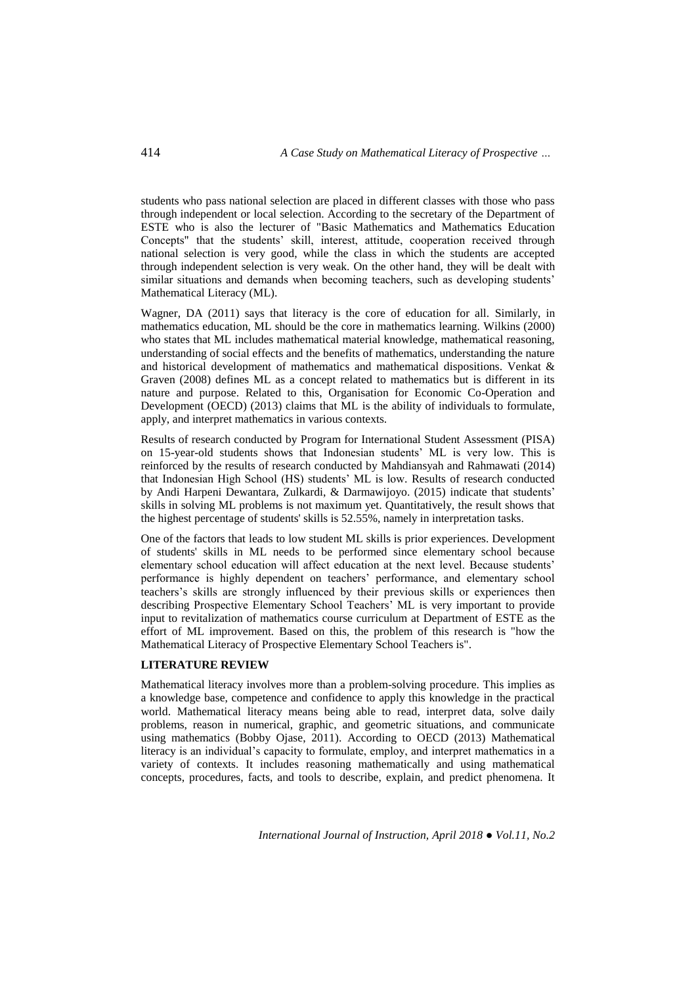students who pass national selection are placed in different classes with those who pass through independent or local selection. According to the secretary of the Department of ESTE who is also the lecturer of "Basic Mathematics and Mathematics Education Concepts" that the students' skill, interest, attitude, cooperation received through national selection is very good, while the class in which the students are accepted through independent selection is very weak. On the other hand, they will be dealt with similar situations and demands when becoming teachers, such as developing students' Mathematical Literacy (ML).

Wagner, DA (2011) says that literacy is the core of education for all. Similarly, in mathematics education, ML should be the core in mathematics learning. Wilkins (2000) who states that ML includes mathematical material knowledge, mathematical reasoning, understanding of social effects and the benefits of mathematics, understanding the nature and historical development of mathematics and mathematical dispositions. Venkat & Graven (2008) defines ML as a concept related to mathematics but is different in its nature and purpose. Related to this, Organisation for Economic Co-Operation and Development (OECD) (2013) claims that ML is the ability of individuals to formulate, apply, and interpret mathematics in various contexts.

Results of research conducted by Program for International Student Assessment (PISA) on 15-year-old students shows that Indonesian students' ML is very low. This is reinforced by the results of research conducted by Mahdiansyah and Rahmawati (2014) that Indonesian High School (HS) students' ML is low. Results of research conducted by Andi Harpeni Dewantara, Zulkardi, & Darmawijoyo. (2015) indicate that students' skills in solving ML problems is not maximum yet. Quantitatively, the result shows that the highest percentage of students' skills is 52.55%, namely in interpretation tasks.

One of the factors that leads to low student ML skills is prior experiences. Development of students' skills in ML needs to be performed since elementary school because elementary school education will affect education at the next level. Because students' performance is highly dependent on teachers' performance, and elementary school teachers's skills are strongly influenced by their previous skills or experiences then describing Prospective Elementary School Teachers' ML is very important to provide input to revitalization of mathematics course curriculum at Department of ESTE as the effort of ML improvement. Based on this, the problem of this research is "how the Mathematical Literacy of Prospective Elementary School Teachers is".

### **LITERATURE REVIEW**

Mathematical literacy involves more than a problem-solving procedure. This implies as a knowledge base, competence and confidence to apply this knowledge in the practical world. Mathematical literacy means being able to read, interpret data, solve daily problems, reason in numerical, graphic, and geometric situations, and communicate using mathematics (Bobby Ojase, 2011). According to OECD (2013) Mathematical literacy is an individual's capacity to formulate, employ, and interpret mathematics in a variety of contexts. It includes reasoning mathematically and using mathematical concepts, procedures, facts, and tools to describe, explain, and predict phenomena. It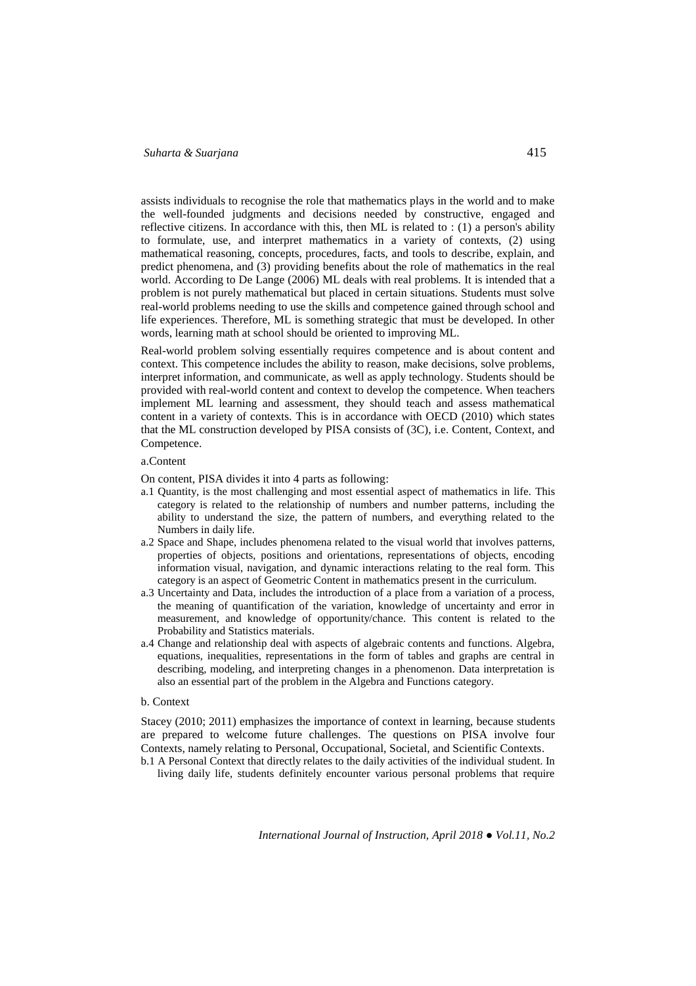assists individuals to recognise the role that mathematics plays in the world and to make the well-founded judgments and decisions needed by constructive, engaged and reflective citizens. In accordance with this, then ML is related to : (1) a person's ability to formulate, use, and interpret mathematics in a variety of contexts, (2) using mathematical reasoning, concepts, procedures, facts, and tools to describe, explain, and predict phenomena, and (3) providing benefits about the role of mathematics in the real world. According to De Lange (2006) ML deals with real problems. It is intended that a problem is not purely mathematical but placed in certain situations. Students must solve real-world problems needing to use the skills and competence gained through school and life experiences. Therefore, ML is something strategic that must be developed. In other words, learning math at school should be oriented to improving ML.

Real-world problem solving essentially requires competence and is about content and context. This competence includes the ability to reason, make decisions, solve problems, interpret information, and communicate, as well as apply technology. Students should be provided with real-world content and context to develop the competence. When teachers implement ML learning and assessment, they should teach and assess mathematical content in a variety of contexts. This is in accordance with OECD (2010) which states that the ML construction developed by PISA consists of (3C), i.e. Content, Context, and Competence.

#### a.Content

On content, PISA divides it into 4 parts as following:

- a.1 Quantity*,* is the most challenging and most essential aspect of mathematics in life. This category is related to the relationship of numbers and number patterns, including the ability to understand the size, the pattern of numbers, and everything related to the Numbers in daily life.
- a.2 Space and Shape*,* includes phenomena related to the visual world that involves patterns, properties of objects, positions and orientations, representations of objects, encoding information visual, navigation, and dynamic interactions relating to the real form. This category is an aspect of Geometric Content in mathematics present in the curriculum.
- a.3 Uncertainty and Data*,* includes the introduction of a place from a variation of a process, the meaning of quantification of the variation, knowledge of uncertainty and error in measurement, and knowledge of opportunity/chance. This content is related to the Probability and Statistics materials.
- a.4 Change and relationship deal with aspects of algebraic contents and functions. Algebra, equations, inequalities, representations in the form of tables and graphs are central in describing, modeling, and interpreting changes in a phenomenon. Data interpretation is also an essential part of the problem in the Algebra and Functions category.

#### b. Context

Stacey (2010; 2011) emphasizes the importance of context in learning, because students are prepared to welcome future challenges. The questions on PISA involve four Contexts, namely relating to Personal, Occupational, Societal, and Scientific Contexts.

b.1 A Personal Context that directly relates to the daily activities of the individual student. In living daily life, students definitely encounter various personal problems that require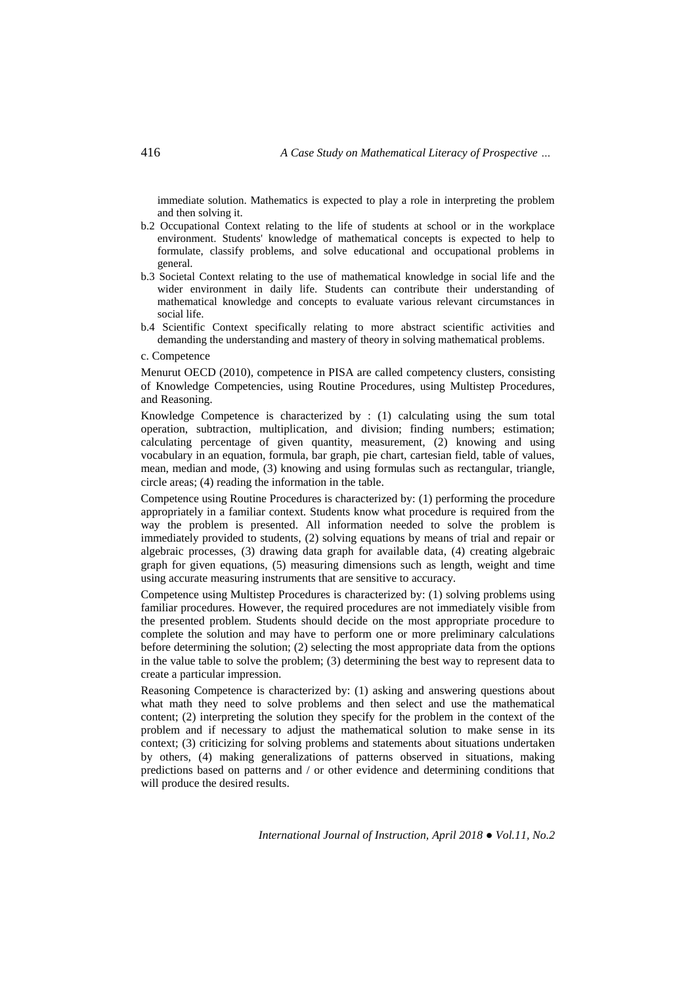immediate solution. Mathematics is expected to play a role in interpreting the problem and then solving it.

- b.2 Occupational Context relating to the life of students at school or in the workplace environment. Students' knowledge of mathematical concepts is expected to help to formulate, classify problems, and solve educational and occupational problems in general.
- b.3 Societal Context relating to the use of mathematical knowledge in social life and the wider environment in daily life. Students can contribute their understanding of mathematical knowledge and concepts to evaluate various relevant circumstances in social life.
- b.4 Scientific Context specifically relating to more abstract scientific activities and demanding the understanding and mastery of theory in solving mathematical problems.

c. Competence

Menurut OECD (2010), competence in PISA are called competency clusters, consisting of Knowledge Competencies, using Routine Procedures, using Multistep Procedures, and Reasoning.

Knowledge Competence is characterized by : (1) calculating using the sum total operation, subtraction, multiplication, and division; finding numbers; estimation; calculating percentage of given quantity, measurement, (2) knowing and using vocabulary in an equation, formula, bar graph, pie chart, cartesian field, table of values, mean, median and mode, (3) knowing and using formulas such as rectangular, triangle, circle areas; (4) reading the information in the table.

Competence using Routine Procedures is characterized by: (1) performing the procedure appropriately in a familiar context. Students know what procedure is required from the way the problem is presented. All information needed to solve the problem is immediately provided to students, (2) solving equations by means of trial and repair or algebraic processes, (3) drawing data graph for available data, (4) creating algebraic graph for given equations, (5) measuring dimensions such as length, weight and time using accurate measuring instruments that are sensitive to accuracy.

Competence using Multistep Procedures is characterized by: (1) solving problems using familiar procedures. However, the required procedures are not immediately visible from the presented problem. Students should decide on the most appropriate procedure to complete the solution and may have to perform one or more preliminary calculations before determining the solution; (2) selecting the most appropriate data from the options in the value table to solve the problem; (3) determining the best way to represent data to create a particular impression.

Reasoning Competence is characterized by: (1) asking and answering questions about what math they need to solve problems and then select and use the mathematical content; (2) interpreting the solution they specify for the problem in the context of the problem and if necessary to adjust the mathematical solution to make sense in its context; (3) criticizing for solving problems and statements about situations undertaken by others, (4) making generalizations of patterns observed in situations, making predictions based on patterns and / or other evidence and determining conditions that will produce the desired results.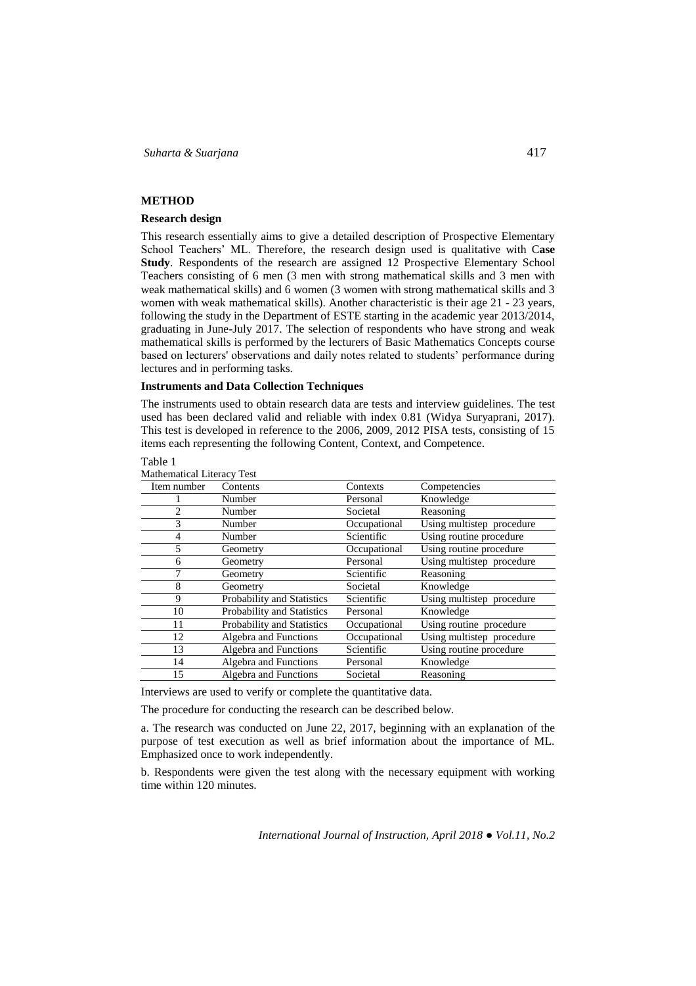### **METHOD**

### **Research design**

This research essentially aims to give a detailed description of Prospective Elementary School Teachers' ML. Therefore, the research design used is qualitative with C**ase Study**. Respondents of the research are assigned 12 Prospective Elementary School Teachers consisting of 6 men (3 men with strong mathematical skills and 3 men with weak mathematical skills) and 6 women (3 women with strong mathematical skills and 3 women with weak mathematical skills). Another characteristic is their age 21 - 23 years, following the study in the Department of ESTE starting in the academic year 2013/2014, graduating in June-July 2017. The selection of respondents who have strong and weak mathematical skills is performed by the lecturers of Basic Mathematics Concepts course based on lecturers' observations and daily notes related to students' performance during lectures and in performing tasks.

### **Instruments and Data Collection Techniques**

The instruments used to obtain research data are tests and interview guidelines. The test used has been declared valid and reliable with index 0.81 (Widya Suryaprani, 2017). This test is developed in reference to the 2006, 2009, 2012 PISA tests, consisting of 15 items each representing the following Content, Context, and Competence.

#### Table 1

| Mathematical Literacy Test |
|----------------------------|
|                            |

| Item number | Contents                          | Contexts     | Competencies              |
|-------------|-----------------------------------|--------------|---------------------------|
|             | Number                            | Personal     | Knowledge                 |
| 2           | Number                            | Societal     | Reasoning                 |
| 3           | Number                            | Occupational | Using multistep procedure |
| 4           | Number                            | Scientific   | Using routine procedure   |
| 5           | Geometry                          | Occupational | Using routine procedure   |
| 6           | Geometry                          | Personal     | Using multistep procedure |
| 7           | Geometry                          | Scientific   | Reasoning                 |
| 8           | Geometry                          | Societal     | Knowledge                 |
| 9           | Probability and Statistics        | Scientific   | Using multistep procedure |
| 10          | Probability and Statistics        | Personal     | Knowledge                 |
| 11          | <b>Probability and Statistics</b> | Occupational | Using routine procedure   |
| 12          | Algebra and Functions             | Occupational | Using multistep procedure |
| 13          | Algebra and Functions             | Scientific   | Using routine procedure   |
| 14          | Algebra and Functions             | Personal     | Knowledge                 |
| 15          | Algebra and Functions             | Societal     | Reasoning                 |

Interviews are used to verify or complete the quantitative data.

The procedure for conducting the research can be described below.

a. The research was conducted on June 22, 2017, beginning with an explanation of the purpose of test execution as well as brief information about the importance of ML. Emphasized once to work independently.

b. Respondents were given the test along with the necessary equipment with working time within 120 minutes.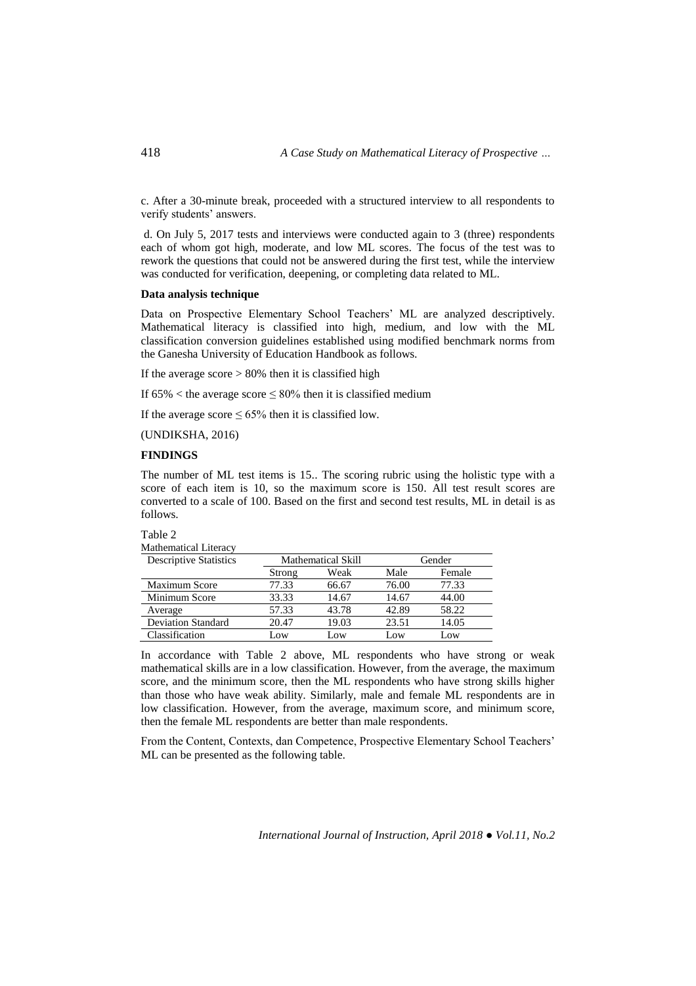c. After a 30-minute break, proceeded with a structured interview to all respondents to verify students' answers.

d. On July 5, 2017 tests and interviews were conducted again to 3 (three) respondents each of whom got high, moderate, and low ML scores. The focus of the test was to rework the questions that could not be answered during the first test, while the interview was conducted for verification, deepening, or completing data related to ML.

### **Data analysis technique**

Data on Prospective Elementary School Teachers' ML are analyzed descriptively. Mathematical literacy is classified into high, medium, and low with the ML classification conversion guidelines established using modified benchmark norms from the Ganesha University of Education Handbook as follows.

If the average score  $> 80\%$  then it is classified high

If 65%  $\lt$  the average score  $\leq 80\%$  then it is classified medium

If the average score  $\leq 65\%$  then it is classified low.

(UNDIKSHA, 2016)

# **FINDINGS**

The number of ML test items is 15.. The scoring rubric using the holistic type with a score of each item is 10, so the maximum score is 150. All test result scores are converted to a scale of 100. Based on the first and second test results, ML in detail is as follows.

| abie |  |
|------|--|
|      |  |

| <b>Mathematical Literacy</b>  |        |                                     |       |        |
|-------------------------------|--------|-------------------------------------|-------|--------|
| <b>Descriptive Statistics</b> |        | <b>Mathematical Skill</b><br>Gender |       |        |
|                               | Strong | Weak                                | Male  | Female |
| <b>Maximum Score</b>          | 77.33  | 66.67                               | 76.00 | 77.33  |
| Minimum Score                 | 33.33  | 14.67                               | 14.67 | 44.00  |
| Average                       | 57.33  | 43.78                               | 42.89 | 58.22  |
| <b>Deviation Standard</b>     | 20.47  | 19.03                               | 23.51 | 14.05  |
| Classification                | Low    | Low                                 | Low   | Low    |

In accordance with Table 2 above, ML respondents who have strong or weak mathematical skills are in a low classification. However, from the average, the maximum score, and the minimum score, then the ML respondents who have strong skills higher than those who have weak ability. Similarly, male and female ML respondents are in low classification. However, from the average, maximum score, and minimum score, then the female ML respondents are better than male respondents.

From the Content, Contexts, dan Competence, Prospective Elementary School Teachers' ML can be presented as the following table.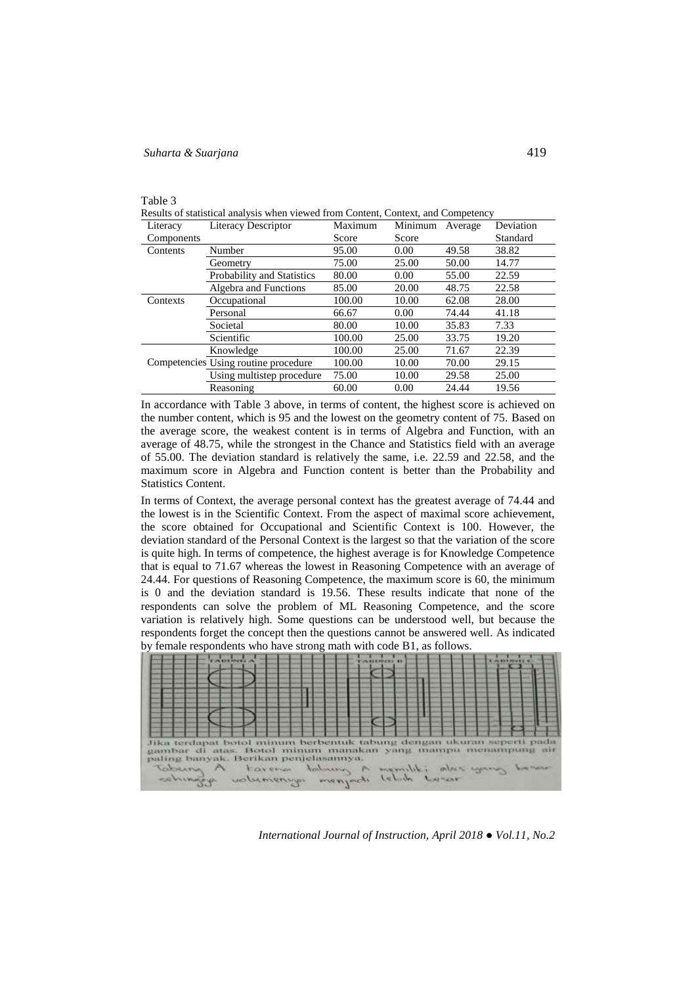| able |  |
|------|--|
|      |  |

Results of statistical analysis when viewed from Content, Context, and Competency

| Literacy   | <b>Literacy Descriptor</b>           | Maximum | Minimum | Average | Deviation |
|------------|--------------------------------------|---------|---------|---------|-----------|
| Components |                                      | Score   | Score   |         | Standard  |
| Contents   | Number                               | 95.00   | 0.00    | 49.58   | 38.82     |
|            | Geometry                             | 75.00   | 25.00   | 50.00   | 14.77     |
|            | Probability and Statistics           | 80.00   | 0.00    | 55.00   | 22.59     |
|            | Algebra and Functions                | 85.00   | 20.00   | 48.75   | 22.58     |
| Contexts   | Occupational                         | 100.00  | 10.00   | 62.08   | 28.00     |
|            | Personal                             | 66.67   | 0.00    | 74.44   | 41.18     |
|            | Societal                             | 80.00   | 10.00   | 35.83   | 7.33      |
|            | Scientific                           | 100.00  | 25.00   | 33.75   | 19.20     |
|            | Knowledge                            | 100.00  | 25.00   | 71.67   | 22.39     |
|            | Competencies Using routine procedure | 100.00  | 10.00   | 70.00   | 29.15     |
|            | Using multistep procedure            | 75.00   | 10.00   | 29.58   | 25.00     |
|            | Reasoning                            | 60.00   | 0.00    | 24.44   | 19.56     |

In accordance with Table 3 above, in terms of content, the highest score is achieved on the number content, which is 95 and the lowest on the geometry content of 75. Based on the average score, the weakest content is in terms of Algebra and Function, with an average of 48.75, while the strongest in the Chance and Statistics field with an average of 55.00. The deviation standard is relatively the same, i.e. 22.59 and 22.58, and the maximum score in Algebra and Function content is better than the Probability and Statistics Content.

In terms of Context, the average personal context has the greatest average of 74.44 and the lowest is in the Scientific Context. From the aspect of maximal score achievement, the score obtained for Occupational and Scientific Context is 100. However, the deviation standard of the Personal Context is the largest so that the variation of the score is quite high. In terms of competence, the highest average is for Knowledge Competence that is equal to 71.67 whereas the lowest in Reasoning Competence with an average of 24.44. For questions of Reasoning Competence, the maximum score is 60, the minimum is 0 and the deviation standard is 19.56. These results indicate that none of the respondents can solve the problem of ML Reasoning Competence, and the score variation is relatively high. Some questions can be understood well, but because the respondents forget the concept then the questions cannot be answered well. As indicated by female respondents who have strong math with code B1, as follows.

| Jika terdapat botol minum berbentuk tabung dengan ukuran seperti pada<br>ambar di atas. Botol minum manakan yang mampu menampung ah<br>paling banyak. Berikan penjelasannya.<br>Tabung A tarena tahung A memiliki atas yang besar<br>cehingen volumenum menjadi lebih hasar |  |
|-----------------------------------------------------------------------------------------------------------------------------------------------------------------------------------------------------------------------------------------------------------------------------|--|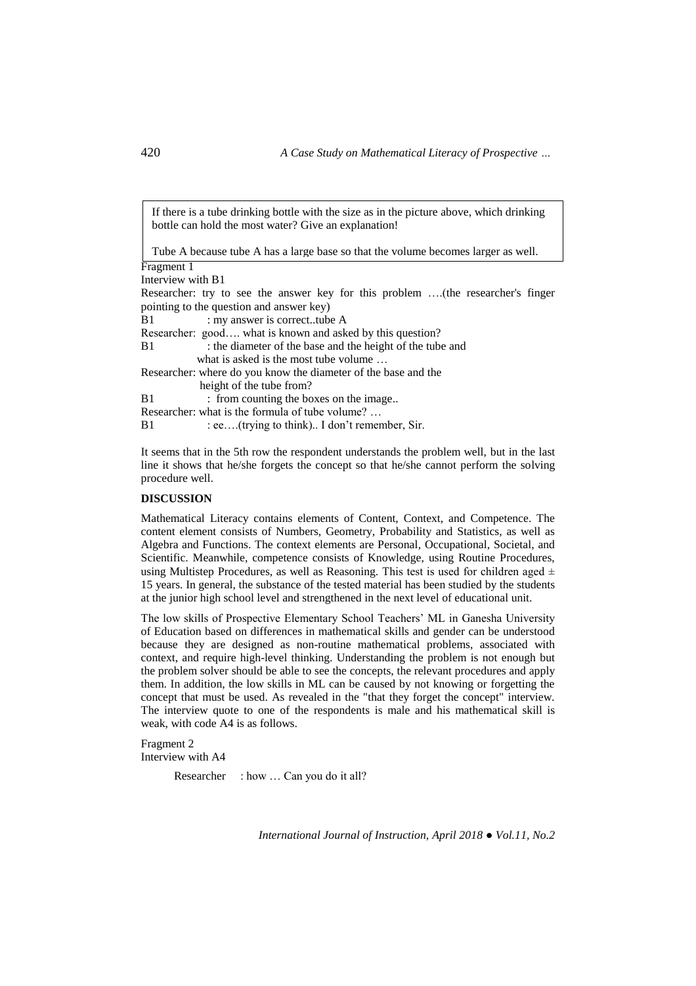If there is a tube drinking bottle with the size as in the picture above, which drinking bottle can hold the most water? Give an explanation!

Tube A because tube A has a large base so that the volume becomes larger as well.

Fragment 1 Interview with B1 Researcher: try to see the answer key for this problem ….(the researcher's finger pointing to the question and answer key) B1 : my answer is correct..tube A Researcher: good…. what is known and asked by this question? B1 : the diameter of the base and the height of the tube and what is asked is the most tube volume … Researcher: where do you know the diameter of the base and the height of the tube from? B1 : from counting the boxes on the image.. Researcher: what is the formula of tube volume? … B1 : ee....(trying to think).. I don't remember, Sir.

It seems that in the 5th row the respondent understands the problem well, but in the last line it shows that he/she forgets the concept so that he/she cannot perform the solving procedure well.

### **DISCUSSION**

Mathematical Literacy contains elements of Content, Context, and Competence. The content element consists of Numbers, Geometry, Probability and Statistics, as well as Algebra and Functions. The context elements are Personal, Occupational, Societal, and Scientific. Meanwhile, competence consists of Knowledge, using Routine Procedures, using Multistep Procedures, as well as Reasoning. This test is used for children aged  $\pm$ 15 years. In general, the substance of the tested material has been studied by the students at the junior high school level and strengthened in the next level of educational unit.

The low skills of Prospective Elementary School Teachers' ML in Ganesha University of Education based on differences in mathematical skills and gender can be understood because they are designed as non-routine mathematical problems, associated with context, and require high-level thinking. Understanding the problem is not enough but the problem solver should be able to see the concepts, the relevant procedures and apply them. In addition, the low skills in ML can be caused by not knowing or forgetting the concept that must be used. As revealed in the "that they forget the concept" interview. The interview quote to one of the respondents is male and his mathematical skill is weak, with code A4 is as follows.

Fragment 2 Interview with A4

Researcher : how ... Can you do it all?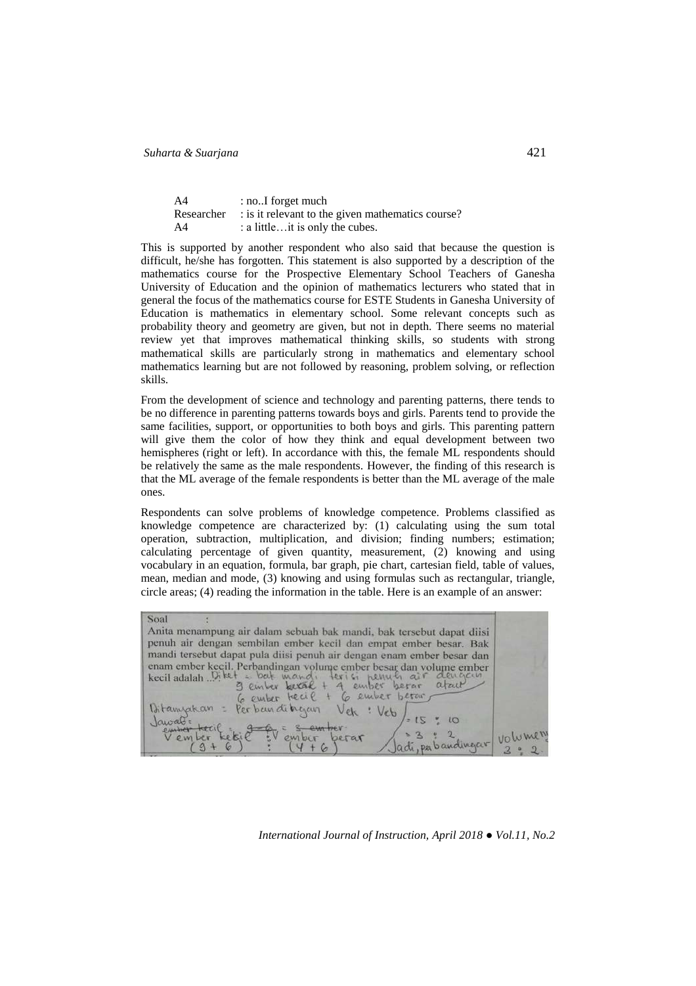| A4 | : noI forget much                                            |
|----|--------------------------------------------------------------|
|    | Researcher : is it relevant to the given mathematics course? |
| A4 | : a little it is only the cubes.                             |

This is supported by another respondent who also said that because the question is difficult, he/she has forgotten. This statement is also supported by a description of the mathematics course for the Prospective Elementary School Teachers of Ganesha University of Education and the opinion of mathematics lecturers who stated that in general the focus of the mathematics course for ESTE Students in Ganesha University of Education is mathematics in elementary school. Some relevant concepts such as probability theory and geometry are given, but not in depth. There seems no material review yet that improves mathematical thinking skills, so students with strong mathematical skills are particularly strong in mathematics and elementary school mathematics learning but are not followed by reasoning, problem solving, or reflection skills.

From the development of science and technology and parenting patterns, there tends to be no difference in parenting patterns towards boys and girls. Parents tend to provide the same facilities, support, or opportunities to both boys and girls. This parenting pattern will give them the color of how they think and equal development between two hemispheres (right or left). In accordance with this, the female ML respondents should be relatively the same as the male respondents. However, the finding of this research is that the ML average of the female respondents is better than the ML average of the male ones.

Respondents can solve problems of knowledge competence. Problems classified as knowledge competence are characterized by: (1) calculating using the sum total operation, subtraction, multiplication, and division; finding numbers; estimation; calculating percentage of given quantity, measurement, (2) knowing and using vocabulary in an equation, formula, bar graph, pie chart, cartesian field, table of values, mean, median and mode, (3) knowing and using formulas such as rectangular, triangle, circle areas; (4) reading the information in the table. Here is an example of an answer:

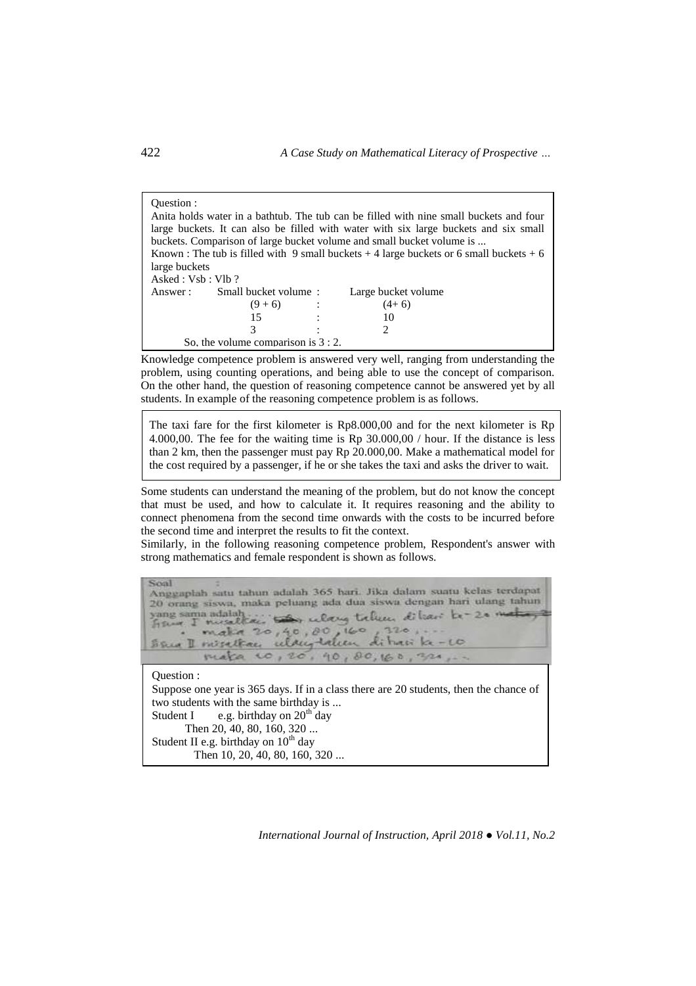| Ouestion :<br>large buckets<br>Asked : Vsb : Vlb ? | Anita holds water in a bathtub. The tub can be filled with nine small buckets and four<br>large buckets. It can also be filled with water with six large buckets and six small<br>buckets. Comparison of large bucket volume and small bucket volume is<br>Known : The tub is filled with 9 small buckets + 4 large buckets or 6 small buckets + 6 |  |                     |  |
|----------------------------------------------------|----------------------------------------------------------------------------------------------------------------------------------------------------------------------------------------------------------------------------------------------------------------------------------------------------------------------------------------------------|--|---------------------|--|
|                                                    | Answer: Small bucket volume:                                                                                                                                                                                                                                                                                                                       |  | Large bucket volume |  |
|                                                    | $(9+6)$ :                                                                                                                                                                                                                                                                                                                                          |  | $(4+6)$             |  |
|                                                    | 15                                                                                                                                                                                                                                                                                                                                                 |  | 10                  |  |
|                                                    |                                                                                                                                                                                                                                                                                                                                                    |  |                     |  |
|                                                    | So, the volume comparison is $3:2$ .                                                                                                                                                                                                                                                                                                               |  |                     |  |

Knowledge competence problem is answered very well, ranging from understanding the problem, using counting operations, and being able to use the concept of comparison. On the other hand, the question of reasoning competence cannot be answered yet by all students. In example of the reasoning competence problem is as follows.

The taxi fare for the first kilometer is Rp8.000,00 and for the next kilometer is Rp 4.000,00. The fee for the waiting time is Rp 30.000,00 / hour. If the distance is less than 2 km, then the passenger must pay Rp 20.000,00. Make a mathematical model for the cost required by a passenger, if he or she takes the taxi and asks the driver to wait.

Some students can understand the meaning of the problem, but do not know the concept that must be used, and how to calculate it. It requires reasoning and the ability to connect phenomena from the second time onwards with the costs to be incurred before the second time and interpret the results to fit the context.

Similarly, in the following reasoning competence problem, Respondent's answer with strong mathematics and female respondent is shown as follows.

| Scoal<br>Anggaplah satu tahun adalah 365 hari. Jika dalam suatu kelas terdapat<br>20 orang siswa, maka peluang ada dua siswa dengan hari ulang tahun<br>sang sama adalah . they relay triken dilease be-20 met<br>make 20,40,00,160,320,<br>San I misettaci uldug talen dihari ke-10              |
|---------------------------------------------------------------------------------------------------------------------------------------------------------------------------------------------------------------------------------------------------------------------------------------------------|
| make 10,20, 90,80,160,320,.                                                                                                                                                                                                                                                                       |
| Ouestion :<br>Suppose one year is 365 days. If in a class there are 20 students, then the chance of<br>two students with the same birthday is<br>Student I e.g. birthday on $20th$ day<br>Then 20, 40, 80, 160, 320<br>Student II e.g. birthday on $10^{th}$ day<br>Then 10, 20, 40, 80, 160, 320 |

*International Journal of Instruction, April 2018 ● Vol.11, No.2*

 $\overline{a}$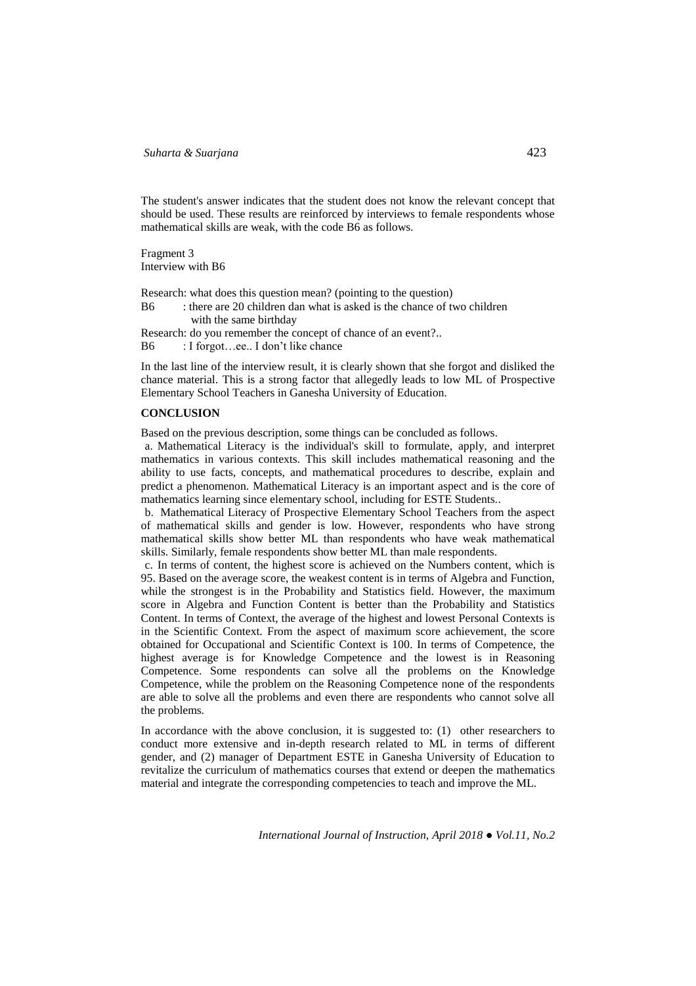The student's answer indicates that the student does not know the relevant concept that should be used. These results are reinforced by interviews to female respondents whose mathematical skills are weak, with the code B6 as follows.

Fragment 3 Interview with B6

Research: what does this question mean? (pointing to the question) B6 : there are 20 children dan what is asked is the chance of two children with the same birthday Research: do you remember the concept of chance of an event?.. B6 : I forgot...ee.. I don't like chance

In the last line of the interview result, it is clearly shown that she forgot and disliked the chance material. This is a strong factor that allegedly leads to low ML of Prospective Elementary School Teachers in Ganesha University of Education.

### **CONCLUSION**

Based on the previous description, some things can be concluded as follows.

a. Mathematical Literacy is the individual's skill to formulate, apply, and interpret mathematics in various contexts. This skill includes mathematical reasoning and the ability to use facts, concepts, and mathematical procedures to describe, explain and predict a phenomenon. Mathematical Literacy is an important aspect and is the core of mathematics learning since elementary school, including for ESTE Students..

b. Mathematical Literacy of Prospective Elementary School Teachers from the aspect of mathematical skills and gender is low. However, respondents who have strong mathematical skills show better ML than respondents who have weak mathematical skills. Similarly, female respondents show better ML than male respondents.

c. In terms of content, the highest score is achieved on the Numbers content, which is 95. Based on the average score, the weakest content is in terms of Algebra and Function, while the strongest is in the Probability and Statistics field. However, the maximum score in Algebra and Function Content is better than the Probability and Statistics Content. In terms of Context, the average of the highest and lowest Personal Contexts is in the Scientific Context. From the aspect of maximum score achievement, the score obtained for Occupational and Scientific Context is 100. In terms of Competence, the highest average is for Knowledge Competence and the lowest is in Reasoning Competence. Some respondents can solve all the problems on the Knowledge Competence, while the problem on the Reasoning Competence none of the respondents are able to solve all the problems and even there are respondents who cannot solve all the problems.

In accordance with the above conclusion, it is suggested to: (1) other researchers to conduct more extensive and in-depth research related to ML in terms of different gender, and (2) manager of Department ESTE in Ganesha University of Education to revitalize the curriculum of mathematics courses that extend or deepen the mathematics material and integrate the corresponding competencies to teach and improve the ML.